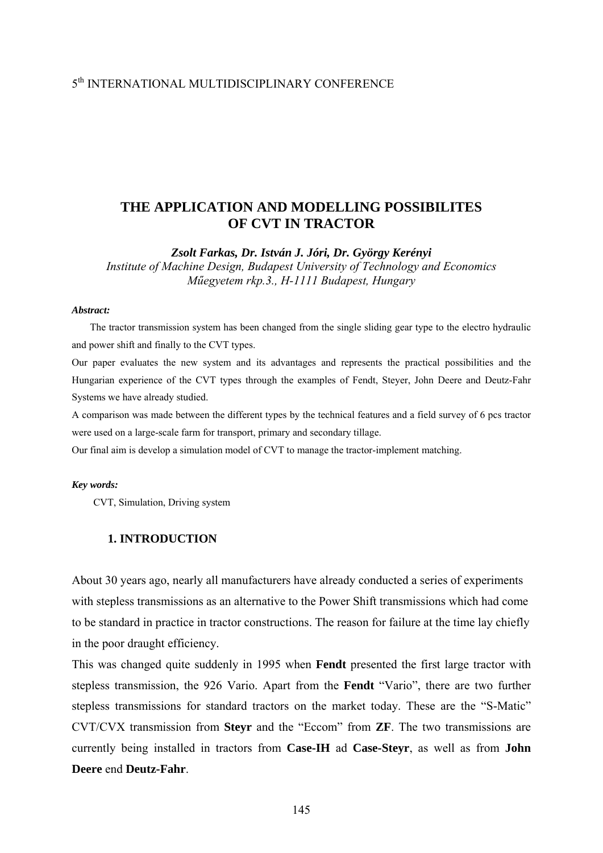# 5th INTERNATIONAL MULTIDISCIPLINARY CONFERENCE

# **THE APPLICATION AND MODELLING POSSIBILITES OF CVT IN TRACTOR**

*Zsolt Farkas, Dr. István J. Jóri, Dr. György Kerényi* 

*Institute of Machine Design, Budapest University of Technology and Economics Műegyetem rkp.3., H-1111 Budapest, Hungary* 

#### *Abstract:*

The tractor transmission system has been changed from the single sliding gear type to the electro hydraulic and power shift and finally to the CVT types.

Our paper evaluates the new system and its advantages and represents the practical possibilities and the Hungarian experience of the CVT types through the examples of Fendt, Steyer, John Deere and Deutz-Fahr Systems we have already studied.

A comparison was made between the different types by the technical features and a field survey of 6 pcs tractor were used on a large-scale farm for transport, primary and secondary tillage.

Our final aim is develop a simulation model of CVT to manage the tractor-implement matching.

#### *Key words:*

CVT, Simulation, Driving system

# **1. INTRODUCTION**

About 30 years ago, nearly all manufacturers have already conducted a series of experiments with stepless transmissions as an alternative to the Power Shift transmissions which had come to be standard in practice in tractor constructions. The reason for failure at the time lay chiefly in the poor draught efficiency.

This was changed quite suddenly in 1995 when **Fendt** presented the first large tractor with stepless transmission, the 926 Vario. Apart from the **Fendt** "Vario", there are two further stepless transmissions for standard tractors on the market today. These are the "S-Matic" CVT/CVX transmission from **Steyr** and the "Eccom" from **ZF**. The two transmissions are currently being installed in tractors from **Case-IH** ad **Case-Steyr**, as well as from **John Deere** end **Deutz-Fahr**.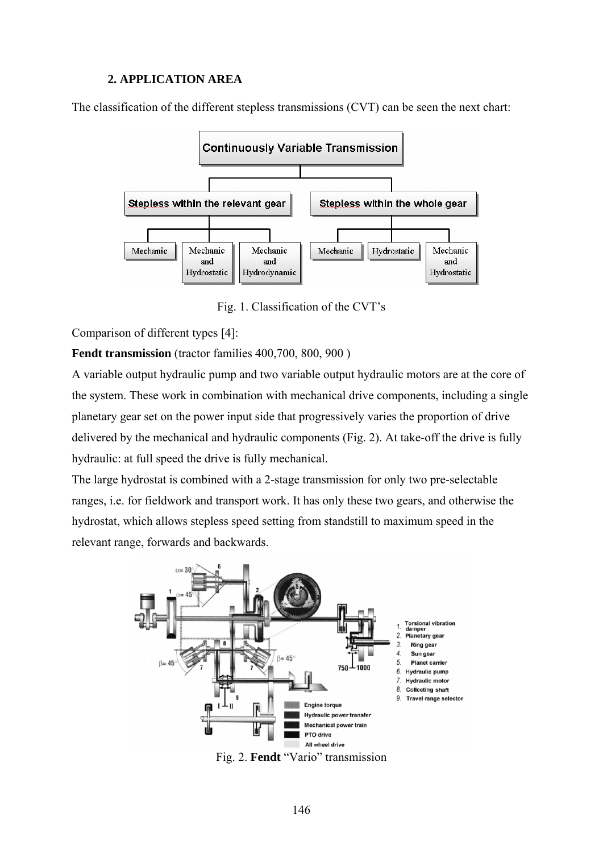# **2. APPLICATION AREA**

The classification of the different stepless transmissions (CVT) can be seen the next chart:



Fig. 1. Classification of the CVT's

Comparison of different types [4]:

**Fendt transmission** (tractor families 400,700, 800, 900 )

A variable output hydraulic pump and two variable output hydraulic motors are at the core of the system. These work in combination with mechanical drive components, including a single planetary gear set on the power input side that progressively varies the proportion of drive delivered by the mechanical and hydraulic components (Fig. 2). At take-off the drive is fully hydraulic: at full speed the drive is fully mechanical.

The large hydrostat is combined with a 2-stage transmission for only two pre-selectable ranges, i.e. for fieldwork and transport work. It has only these two gears, and otherwise the hydrostat, which allows stepless speed setting from standstill to maximum speed in the relevant range, forwards and backwards.



Fig. 2. **Fendt** "Vario" transmission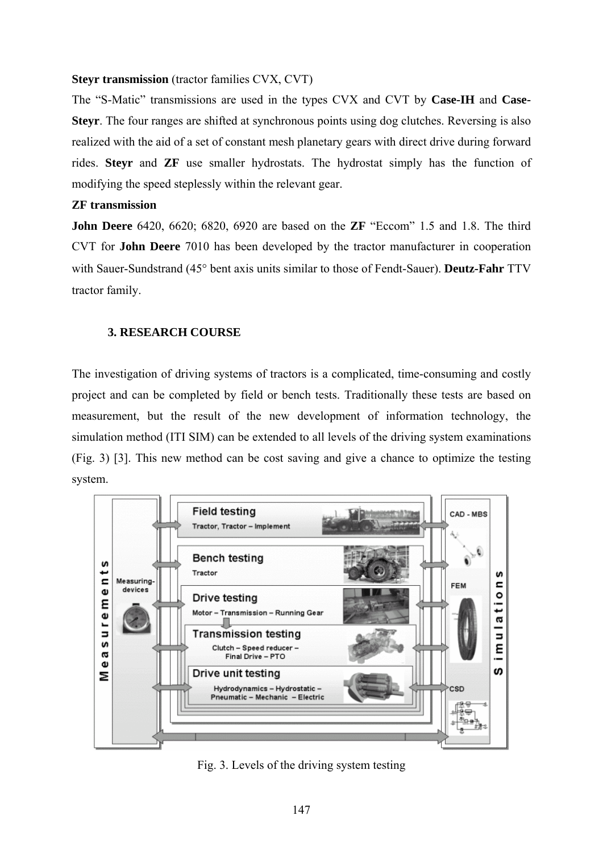# **Steyr transmission** (tractor families CVX, CVT)

The "S-Matic" transmissions are used in the types CVX and CVT by **Case-IH** and **Case-Steyr**. The four ranges are shifted at synchronous points using dog clutches. Reversing is also realized with the aid of a set of constant mesh planetary gears with direct drive during forward rides. **Steyr** and **ZF** use smaller hydrostats. The hydrostat simply has the function of modifying the speed steplessly within the relevant gear.

# **ZF transmission**

**John Deere** 6420, 6620; 6820, 6920 are based on the **ZF** "Eccom" 1.5 and 1.8. The third CVT for **John Deere** 7010 has been developed by the tractor manufacturer in cooperation with Sauer-Sundstrand (45° bent axis units similar to those of Fendt-Sauer). **Deutz-Fahr** TTV tractor family.

# **3. RESEARCH COURSE**

The investigation of driving systems of tractors is a complicated, time-consuming and costly project and can be completed by field or bench tests. Traditionally these tests are based on measurement, but the result of the new development of information technology, the simulation method (ITI SIM) can be extended to all levels of the driving system examinations (Fig. 3) [3]. This new method can be cost saving and give a chance to optimize the testing system.



Fig. 3. Levels of the driving system testing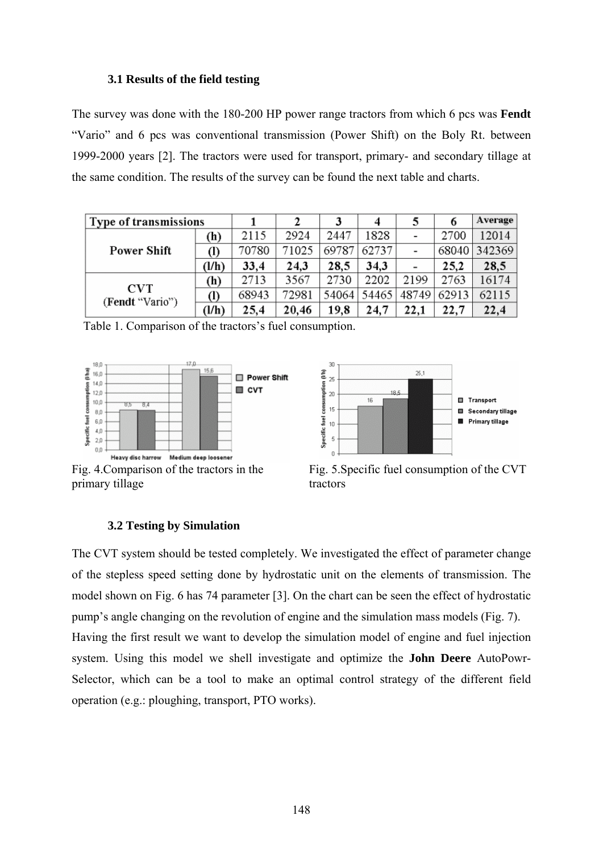## **3.1 Results of the field testing**

The survey was done with the 180-200 HP power range tractors from which 6 pcs was **Fendt** "Vario" and 6 pcs was conventional transmission (Power Shift) on the Boly Rt. between 1999-2000 years [2]. The tractors were used for transport, primary- and secondary tillage at the same condition. The results of the survey can be found the next table and charts.

| Type of transmissions         |       |       |       |       | 4     |       |       | Average |
|-------------------------------|-------|-------|-------|-------|-------|-------|-------|---------|
| <b>Power Shift</b>            | (h)   | 2115  | 2924  | 2447  | 1828  |       | 2700  | 12014   |
|                               | (I)   | 70780 | 71025 | 69787 | 62737 |       | 68040 | 342369  |
|                               | (l/h) | 33,4  | 24,3  | 28,5  | 34,3  |       | 25,2  | 28,5    |
| <b>CVT</b><br>(Fendt "Vario") | (h)   | 2713  | 3567  | 2730  | 2202  | 2199  | 2763  | 16174   |
|                               | (I)   | 68943 | 72981 | 54064 | 54465 | 48749 | 62913 | 62115   |
|                               | (l/h) | 25,4  | 20,46 | 19,8  | 24,7  | 22,1  | 22,7  | 22,4    |

Table 1. Comparison of the tractors's fuel consumption.





Fig. 4.Comparison of the tractors in the primary tillage



# **3.2 Testing by Simulation**

The CVT system should be tested completely. We investigated the effect of parameter change of the stepless speed setting done by hydrostatic unit on the elements of transmission. The model shown on Fig. 6 has 74 parameter [3]. On the chart can be seen the effect of hydrostatic pump's angle changing on the revolution of engine and the simulation mass models (Fig. 7). Having the first result we want to develop the simulation model of engine and fuel injection system. Using this model we shell investigate and optimize the **John Deere** AutoPowr-Selector, which can be a tool to make an optimal control strategy of the different field operation (e.g.: ploughing, transport, PTO works).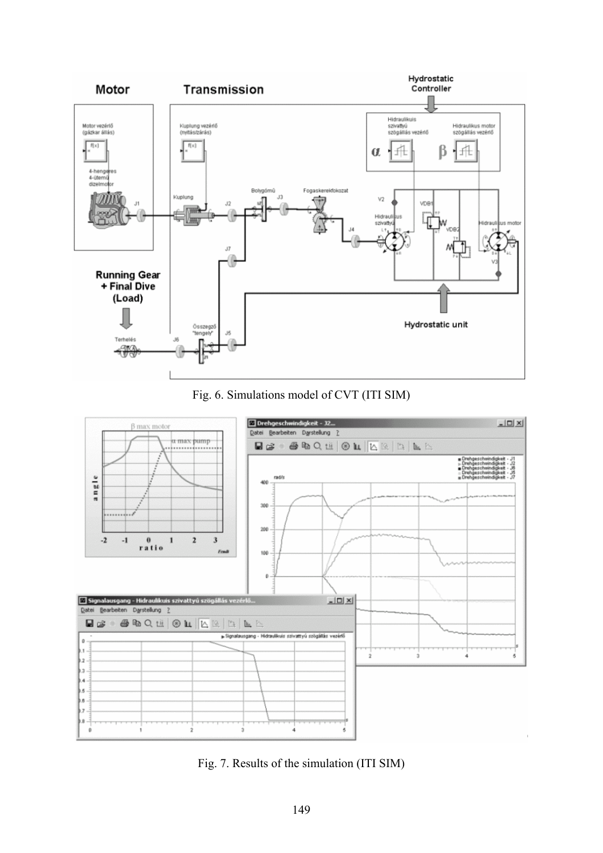





Fig. 7. Results of the simulation (ITI SIM)